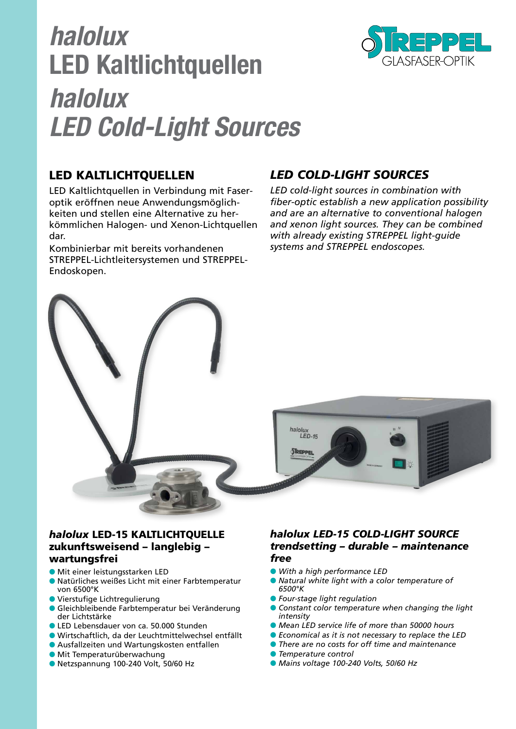# *halolux* **LED Kaltlichtquellen** *halolux LED Cold-Light Sources*



# LED KALTLICHTQUELLEN

LED Kaltlichtquellen in Verbindung mit Faseroptik eröffnen neue Anwendungsmöglichkeiten und stellen eine Alternative zu herkömmlichen Halogen- und Xenon-Lichtquellen dar.

Kombinierbar mit bereits vorhandenen STREPPEL-Lichtleitersystemen und STREPPEL-Endoskopen.

# *LED COLD-LIGHT SOURCES*

*LED cold-light sources in combination with fiber-optic establish a new application possibility and are an alternative to conventional halogen and xenon light sources. They can be combined with already existing STREPPEL light-guide systems and STREPPEL endoscopes.*



#### *halolux* LED-15 KALTLICHTQUELLE zukunftsweisend – langlebig – wartungsfrei

- Mit einer leistungsstarken LED
- Natürliches weißes Licht mit einer Farbtemperatur von 6500°K
- Vierstufige Lichtregulierung
- Gleichbleibende Farbtemperatur bei Veränderung der Lichtstärke
- LED Lebensdauer von ca. 50.000 Stunden
- Wirtschaftlich, da der Leuchtmittelwechsel entfällt
- Ausfallzeiten und Wartungskosten entfallen
- **Mit Temperaturüberwachung**
- Netzspannung 100-240 Volt, 50/60 Hz

#### *halolux LED-15 COLD-LIGHT SOURCE trendsetting – durable – maintenance free*

- *With a high performance LED*
- *Natural white light with a color temperature of 6500°K*
- *Four-stage light regulation*
- *Constant color temperature when changing the light intensity*
- *Mean LED service life of more than 50000 hours*
- *Economical as it is not necessary to replace the LED*
- *There are no costs for off time and maintenance*
- *Temperature control*
- *Mains voltage 100-240 Volts, 50/60 Hz*